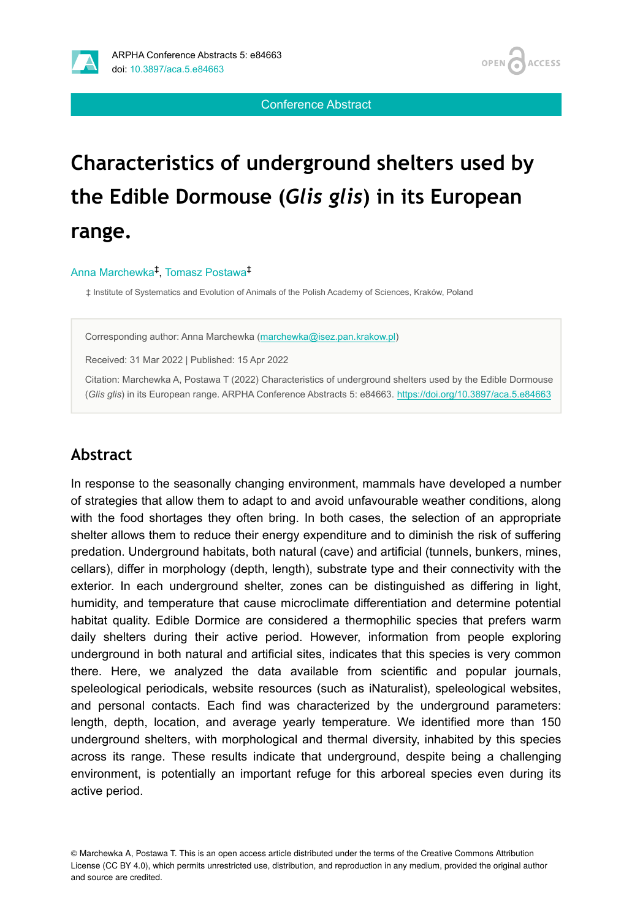OPEN / **ACCESS** 

Conference Abstract

# **Characteristics of underground shelters used by the Edible Dormouse (***Glis glis***) in its European range.**

#### Anna Marchewka<sup>‡</sup>, Tomasz Postawa<sup>‡</sup>

‡ Institute of Systematics and Evolution of Animals of the Polish Academy of Sciences, Kraków, Poland

Corresponding author: Anna Marchewka ([marchewka@isez.pan.krakow.pl\)](mailto:marchewka@isez.pan.krakow.pl)

Received: 31 Mar 2022 | Published: 15 Apr 2022

Citation: Marchewka A, Postawa T (2022) Characteristics of underground shelters used by the Edible Dormouse (*Glis glis*) in its European range. ARPHA Conference Abstracts 5: e84663. <https://doi.org/10.3897/aca.5.e84663>

#### **Abstract**

In response to the seasonally changing environment, mammals have developed a number of strategies that allow them to adapt to and avoid unfavourable weather conditions, along with the food shortages they often bring. In both cases, the selection of an appropriate shelter allows them to reduce their energy expenditure and to diminish the risk of suffering predation. Underground habitats, both natural (cave) and artificial (tunnels, bunkers, mines, cellars), differ in morphology (depth, length), substrate type and their connectivity with the exterior. In each underground shelter, zones can be distinguished as differing in light, humidity, and temperature that cause microclimate differentiation and determine potential habitat quality. Edible Dormice are considered a thermophilic species that prefers warm daily shelters during their active period. However, information from people exploring underground in both natural and artificial sites, indicates that this species is very common there. Here, we analyzed the data available from scientific and popular journals, speleological periodicals, website resources (such as iNaturalist), speleological websites, and personal contacts. Each find was characterized by the underground parameters: length, depth, location, and average yearly temperature. We identified more than 150 underground shelters, with morphological and thermal diversity, inhabited by this species across its range. These results indicate that underground, despite being a challenging environment, is potentially an important refuge for this arboreal species even during its active period.

© Marchewka A, Postawa T. This is an open access article distributed under the terms of the Creative Commons Attribution License (CC BY 4.0), which permits unrestricted use, distribution, and reproduction in any medium, provided the original author and source are credited.